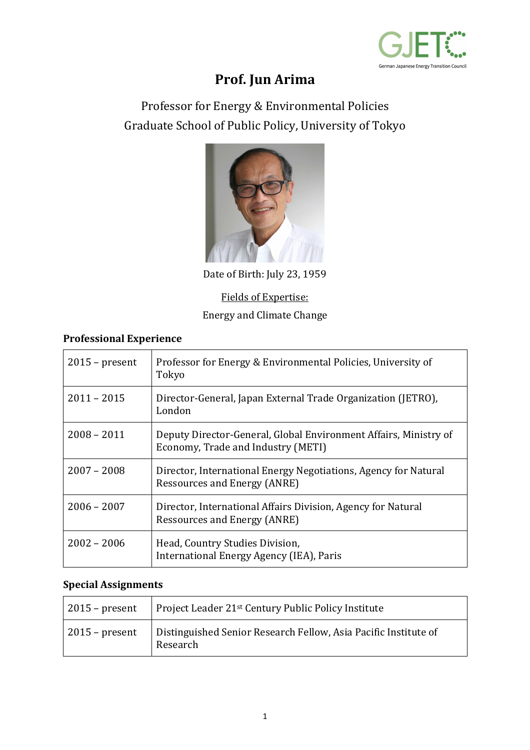

# **Prof. Jun Arima**

Professor for Energy & Environmental Policies Graduate School of Public Policy, University of Tokyo



Date of Birth: July 23, 1959

## Fields of Expertise: Energy and Climate Change

#### **Professional Experience**

| $2015$ – present | Professor for Energy & Environmental Policies, University of<br>Tokyo                                  |
|------------------|--------------------------------------------------------------------------------------------------------|
| $2011 - 2015$    | Director-General, Japan External Trade Organization (JETRO),<br>London                                 |
| $2008 - 2011$    | Deputy Director-General, Global Environment Affairs, Ministry of<br>Economy, Trade and Industry (METI) |
| $2007 - 2008$    | Director, International Energy Negotiations, Agency for Natural<br><b>Ressources and Energy (ANRE)</b> |
| $2006 - 2007$    | Director, International Affairs Division, Agency for Natural<br>Ressources and Energy (ANRE)           |
| $2002 - 2006$    | Head, Country Studies Division,<br>International Energy Agency (IEA), Paris                            |

#### **Special Assignments**

| $\vert$ 2015 – present | Project Leader 21 <sup>st</sup> Century Public Policy Institute             |
|------------------------|-----------------------------------------------------------------------------|
| $2015$ – present       | Distinguished Senior Research Fellow, Asia Pacific Institute of<br>Research |